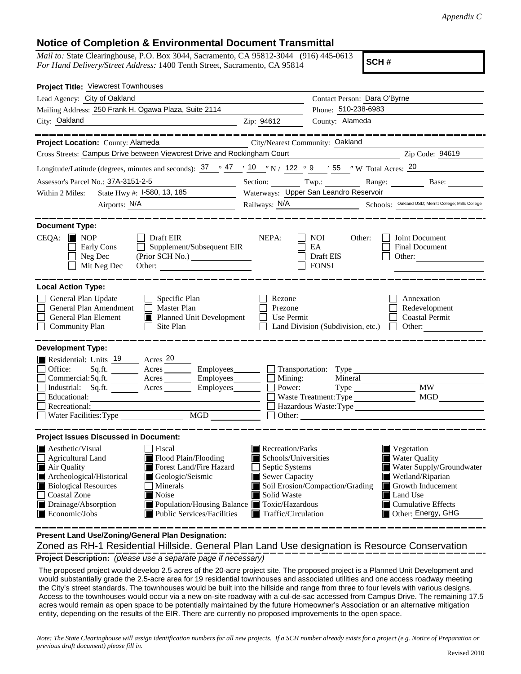## **Notice of Completion & Environmental Document Transmittal**

*Mail to:* State Clearinghouse, P.O. Box 3044, Sacramento, CA 95812-3044 (916) 445-0613 *For Hand Delivery/Street Address:* 1400 Tenth Street, Sacramento, CA 95814

**SCH #**

| Project Title: Viewcrest Townhouses                                                                                                                                                                                                                                                                                                                                                                                                                                         |                                                                                                                                                                                     |                                                          |                                                                                                                                                                                               |
|-----------------------------------------------------------------------------------------------------------------------------------------------------------------------------------------------------------------------------------------------------------------------------------------------------------------------------------------------------------------------------------------------------------------------------------------------------------------------------|-------------------------------------------------------------------------------------------------------------------------------------------------------------------------------------|----------------------------------------------------------|-----------------------------------------------------------------------------------------------------------------------------------------------------------------------------------------------|
| Lead Agency: City of Oakland                                                                                                                                                                                                                                                                                                                                                                                                                                                |                                                                                                                                                                                     | Contact Person: Dara O'Byrne                             |                                                                                                                                                                                               |
| Mailing Address: 250 Frank H. Ogawa Plaza, Suite 2114                                                                                                                                                                                                                                                                                                                                                                                                                       |                                                                                                                                                                                     | Phone: 510-238-6983                                      |                                                                                                                                                                                               |
| City: Oakland                                                                                                                                                                                                                                                                                                                                                                                                                                                               | Zip: 94612                                                                                                                                                                          | County: Alameda                                          |                                                                                                                                                                                               |
|                                                                                                                                                                                                                                                                                                                                                                                                                                                                             |                                                                                                                                                                                     |                                                          |                                                                                                                                                                                               |
| Project Location: County: Alameda                                                                                                                                                                                                                                                                                                                                                                                                                                           | City/Nearest Community: Oakland                                                                                                                                                     |                                                          |                                                                                                                                                                                               |
| Cross Streets: Campus Drive between Viewcrest Drive and Rockingham Court                                                                                                                                                                                                                                                                                                                                                                                                    |                                                                                                                                                                                     | $\frac{\text{Zip Code: } 94619}{\text{Up Code: } 94619}$ |                                                                                                                                                                                               |
| Longitude/Latitude (degrees, minutes and seconds): $\frac{37}{2}$ $\frac{47}{10}$ $\frac{10}{12}$ N / 122 $\degree$ 9 $\degree$ / 55 $\degree$ W Total Acres: $\frac{20}{2}$                                                                                                                                                                                                                                                                                                |                                                                                                                                                                                     |                                                          |                                                                                                                                                                                               |
| Assessor's Parcel No.: 37A-3151-2-5                                                                                                                                                                                                                                                                                                                                                                                                                                         |                                                                                                                                                                                     |                                                          | Section: Twp.: Range: Base: Base:                                                                                                                                                             |
| State Hwy #: 1-580, 13, 185<br>Within 2 Miles:                                                                                                                                                                                                                                                                                                                                                                                                                              |                                                                                                                                                                                     | Waterways: Upper San Leandro Reservoir                   |                                                                                                                                                                                               |
|                                                                                                                                                                                                                                                                                                                                                                                                                                                                             |                                                                                                                                                                                     |                                                          | Railways: N/A Schools: Oakland USD; Merritt College; Mills College                                                                                                                            |
|                                                                                                                                                                                                                                                                                                                                                                                                                                                                             |                                                                                                                                                                                     |                                                          |                                                                                                                                                                                               |
| <b>Document Type:</b><br>$CEQA:$ MOP<br>$\Box$ Draft EIR<br>Supplement/Subsequent EIR<br>Early Cons<br>Neg Dec<br>(Prior SCH No.)<br>Mit Neg Dec                                                                                                                                                                                                                                                                                                                            | NEPA:                                                                                                                                                                               | NOI<br>Other:<br>EA<br>Draft EIS<br><b>FONSI</b>         | Joint Document<br>Final Document<br>Other:                                                                                                                                                    |
| <b>Local Action Type:</b><br>General Plan Update<br>$\Box$ Specific Plan<br>General Plan Amendment<br>$\Box$ Master Plan<br>General Plan Element<br>■ Planned Unit Development<br><b>Community Plan</b><br>Site Plan<br>$\perp$                                                                                                                                                                                                                                             | Rezone<br>Prezone<br>Use Permit<br>$\perp$                                                                                                                                          | Land Division (Subdivision, etc.)                        | Annexation<br>Redevelopment<br><b>Coastal Permit</b><br>Other:<br>$\Box$                                                                                                                      |
| <b>Development Type:</b>                                                                                                                                                                                                                                                                                                                                                                                                                                                    |                                                                                                                                                                                     |                                                          |                                                                                                                                                                                               |
| Residential: Units 19 Acres 20<br>Sq.ft. ________ Acres _________ Employees ________ __ Transportation: Type ______<br>Office:<br>Commercial:Sq.ft. ________ Acres _________ Employees ________ __ Mining:<br>Industrial: Sq.ft. _______ Acres ________ Employees________ $\Box$<br>Educational:<br><u> 1989 - Johann Barbara, martin amerikan basar dan basa dan basa dan basa dalam basa dalam basa dalam basa dala</u><br>Recreational:<br>MGD<br>Water Facilities: Type | Power:                                                                                                                                                                              | Mineral<br>Waste Treatment: Type                         | <b>MW</b><br>Hazardous Waste:Type                                                                                                                                                             |
| <b>Project Issues Discussed in Document:</b>                                                                                                                                                                                                                                                                                                                                                                                                                                |                                                                                                                                                                                     |                                                          |                                                                                                                                                                                               |
| $\blacksquare$ Aesthetic/Visual<br>Fiscal<br>Flood Plain/Flooding<br>Agricultural Land<br>Forest Land/Fire Hazard<br>Air Quality<br>Archeological/Historical<br>Geologic/Seismic<br><b>Biological Resources</b><br>Minerals<br><b>Coastal Zone</b><br>Noise<br>Drainage/Absorption<br>Population/Housing Balance Toxic/Hazardous<br>$\blacksquare$ Economic/Jobs<br>Public Services/Facilities                                                                              | $\blacksquare$ Recreation/Parks<br>$\blacksquare$ Schools/Universities<br>Septic Systems<br>$\blacksquare$ Sewer Capacity<br>Solid Waste<br>H<br>$\blacksquare$ Traffic/Circulation | Soil Erosion/Compaction/Grading                          | $\blacksquare$ Vegetation<br><b>Water Quality</b><br>Water Supply/Groundwater<br>Wetland/Riparian<br>Growth Inducement<br>Land Use<br>$\blacksquare$ Cumulative Effects<br>Other: Energy, GHG |
| Present Land Use/Zoning/General Plan Designation:<br>Zoned as RH-1 Residential Hillside. General Plan Land Use designation is Resource Conservation                                                                                                                                                                                                                                                                                                                         |                                                                                                                                                                                     |                                                          |                                                                                                                                                                                               |

Zoned as RH-1 Residential Hillside. General Plan Land Use designation is Resource Conservation

**Project Description:** *(please use a separate page if necessary)*

 The proposed project would develop 2.5 acres of the 20-acre project site. The proposed project is a Planned Unit Development and would substantially grade the 2.5-acre area for 19 residential townhouses and associated utilities and one access roadway meeting the City's street standards. The townhouses would be built into the hillside and range from three to four levels with various designs. Access to the townhouses would occur via a new on-site roadway with a cul-de-sac accessed from Campus Drive. The remaining 17.5 acres would remain as open space to be potentially maintained by the future Homeowner's Association or an alternative mitigation entity, depending on the results of the EIR. There are currently no proposed improvements to the open space.

*Note: The State Clearinghouse will assign identification numbers for all new projects. If a SCH number already exists for a project (e.g. Notice of Preparation or previous draft document) please fill in.*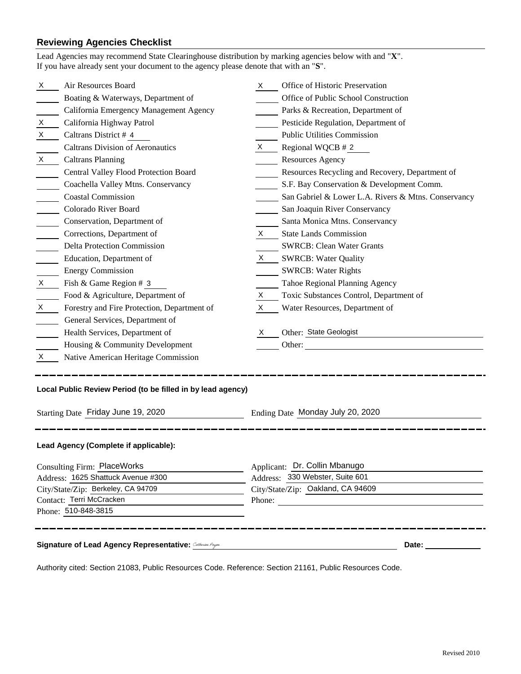## **Reviewing Agencies Checklist**<br>Lead Agencies may recommend State Cl

|                                    | Lead Agencies may recommend State Clearinghouse distribution by marking agencies below with and "X".<br>If you have already sent your document to the agency please denote that with an "S". |              |                                                                                                                                                      |  |
|------------------------------------|----------------------------------------------------------------------------------------------------------------------------------------------------------------------------------------------|--------------|------------------------------------------------------------------------------------------------------------------------------------------------------|--|
| X                                  | Air Resources Board                                                                                                                                                                          | X.           | Office of Historic Preservation                                                                                                                      |  |
|                                    | Boating & Waterways, Department of                                                                                                                                                           |              | Office of Public School Construction                                                                                                                 |  |
|                                    | California Emergency Management Agency                                                                                                                                                       |              | Parks & Recreation, Department of                                                                                                                    |  |
| X                                  | California Highway Patrol                                                                                                                                                                    |              | Pesticide Regulation, Department of                                                                                                                  |  |
| X                                  | Caltrans District # 4                                                                                                                                                                        |              | <b>Public Utilities Commission</b>                                                                                                                   |  |
|                                    | <b>Caltrans Division of Aeronautics</b>                                                                                                                                                      | $\mathsf{X}$ | Regional WQCB # 2                                                                                                                                    |  |
| $X \rightarrow$                    | <b>Caltrans Planning</b>                                                                                                                                                                     |              | <b>Resources Agency</b>                                                                                                                              |  |
|                                    | Central Valley Flood Protection Board                                                                                                                                                        |              | Resources Recycling and Recovery, Department of                                                                                                      |  |
|                                    | Coachella Valley Mtns. Conservancy                                                                                                                                                           |              | S.F. Bay Conservation & Development Comm.                                                                                                            |  |
|                                    | <b>Coastal Commission</b>                                                                                                                                                                    |              | San Gabriel & Lower L.A. Rivers & Mtns. Conservancy                                                                                                  |  |
|                                    | Colorado River Board                                                                                                                                                                         |              | San Joaquin River Conservancy                                                                                                                        |  |
|                                    | Conservation, Department of                                                                                                                                                                  |              | Santa Monica Mtns. Conservancy                                                                                                                       |  |
|                                    | Corrections, Department of                                                                                                                                                                   | X.           | <b>State Lands Commission</b>                                                                                                                        |  |
|                                    | <b>Delta Protection Commission</b>                                                                                                                                                           |              | <b>SWRCB: Clean Water Grants</b>                                                                                                                     |  |
|                                    | Education, Department of                                                                                                                                                                     |              | X SWRCB: Water Quality                                                                                                                               |  |
|                                    | <b>Energy Commission</b>                                                                                                                                                                     |              | <b>SWRCB: Water Rights</b>                                                                                                                           |  |
| X                                  | Fish & Game Region # 3                                                                                                                                                                       |              | Tahoe Regional Planning Agency                                                                                                                       |  |
|                                    | Food & Agriculture, Department of                                                                                                                                                            | X.           | Toxic Substances Control, Department of                                                                                                              |  |
| X.                                 | Forestry and Fire Protection, Department of                                                                                                                                                  | X            | Water Resources, Department of                                                                                                                       |  |
|                                    | General Services, Department of                                                                                                                                                              |              |                                                                                                                                                      |  |
|                                    | Health Services, Department of                                                                                                                                                               | X.           | Other: State Geologist                                                                                                                               |  |
|                                    | Housing & Community Development                                                                                                                                                              |              |                                                                                                                                                      |  |
| X.                                 | Native American Heritage Commission                                                                                                                                                          |              |                                                                                                                                                      |  |
|                                    | Local Public Review Period (to be filled in by lead agency)                                                                                                                                  |              |                                                                                                                                                      |  |
|                                    | Starting Date Friday June 19, 2020<br>Ending Date Monday July 20, 2020                                                                                                                       |              |                                                                                                                                                      |  |
|                                    | Lead Agency (Complete if applicable):                                                                                                                                                        |              |                                                                                                                                                      |  |
|                                    | <b>Consulting Firm: PlaceWorks</b>                                                                                                                                                           |              | Applicant: Dr. Collin Mbanugo                                                                                                                        |  |
| Address: 1625 Shattuck Avenue #300 |                                                                                                                                                                                              |              | Address: 330 Webster, Suite 601                                                                                                                      |  |
| City/State/Zip: Berkeley, CA 94709 |                                                                                                                                                                                              |              | City/State/Zip: Oakland, CA 94609                                                                                                                    |  |
| Contact: Terri McCracken           |                                                                                                                                                                                              | Phone:       |                                                                                                                                                      |  |
|                                    | Phone: 510-848-3815                                                                                                                                                                          |              |                                                                                                                                                      |  |
|                                    | Signature of Lead Agency Representative: Catherine Payae                                                                                                                                     |              | Date: <u>_______________</u><br><u> 1989 - Johann Barbara, martxa alemaniar amerikan basar dan basar dan basar dan basar dan basar dan basar dan</u> |  |

Authority cited: Section 21083, Public Resources Code. Reference: Section 21161, Public Resources Code.